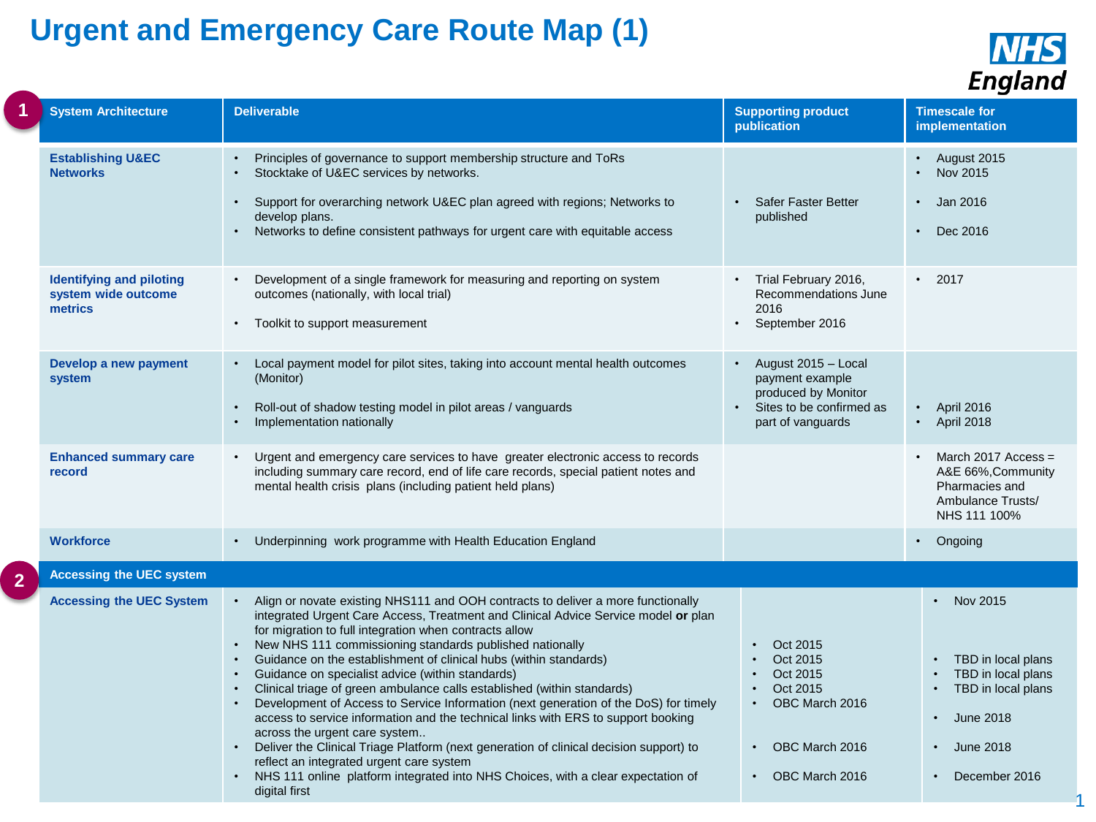## **Urgent and Emergency Care Route Map (1)**



|                | <b>System Architecture</b>                                        | <b>Deliverable</b>                                                                                                                                                                                                                                                                                                                                                                                                                                                                                                                                                                                                                                                                                                                                                                                                                                                                                                                                                     | <b>Supporting product</b><br>publication                                                                                       | <b>Timescale for</b><br>implementation                                                                                                                                      |
|----------------|-------------------------------------------------------------------|------------------------------------------------------------------------------------------------------------------------------------------------------------------------------------------------------------------------------------------------------------------------------------------------------------------------------------------------------------------------------------------------------------------------------------------------------------------------------------------------------------------------------------------------------------------------------------------------------------------------------------------------------------------------------------------------------------------------------------------------------------------------------------------------------------------------------------------------------------------------------------------------------------------------------------------------------------------------|--------------------------------------------------------------------------------------------------------------------------------|-----------------------------------------------------------------------------------------------------------------------------------------------------------------------------|
|                | <b>Establishing U&amp;EC</b><br><b>Networks</b>                   | Principles of governance to support membership structure and ToRs<br>Stocktake of U&EC services by networks.<br>Support for overarching network U&EC plan agreed with regions; Networks to<br>$\bullet$<br>develop plans.<br>Networks to define consistent pathways for urgent care with equitable access                                                                                                                                                                                                                                                                                                                                                                                                                                                                                                                                                                                                                                                              | Safer Faster Better<br>published                                                                                               | August 2015<br>Nov 2015<br>Jan 2016<br>Dec 2016                                                                                                                             |
|                | <b>Identifying and piloting</b><br>system wide outcome<br>metrics | Development of a single framework for measuring and reporting on system<br>$\bullet$<br>outcomes (nationally, with local trial)<br>Toolkit to support measurement                                                                                                                                                                                                                                                                                                                                                                                                                                                                                                                                                                                                                                                                                                                                                                                                      | • Trial February 2016,<br>Recommendations June<br>2016<br>September 2016                                                       | 2017<br>$\bullet$                                                                                                                                                           |
|                | Develop a new payment<br>system                                   | Local payment model for pilot sites, taking into account mental health outcomes<br>(Monitor)<br>Roll-out of shadow testing model in pilot areas / vanguards<br>Implementation nationally                                                                                                                                                                                                                                                                                                                                                                                                                                                                                                                                                                                                                                                                                                                                                                               | August 2015 - Local<br>payment example<br>produced by Monitor<br>Sites to be confirmed as<br>part of vanguards                 | April 2016<br>April 2018<br>$\bullet$                                                                                                                                       |
|                | <b>Enhanced summary care</b><br>record                            | Urgent and emergency care services to have greater electronic access to records<br>including summary care record, end of life care records, special patient notes and<br>mental health crisis plans (including patient held plans)                                                                                                                                                                                                                                                                                                                                                                                                                                                                                                                                                                                                                                                                                                                                     |                                                                                                                                | March 2017 Access =<br>A&E 66%, Community<br>Pharmacies and<br>Ambulance Trusts/<br>NHS 111 100%                                                                            |
|                | <b>Workforce</b>                                                  | • Underpinning work programme with Health Education England                                                                                                                                                                                                                                                                                                                                                                                                                                                                                                                                                                                                                                                                                                                                                                                                                                                                                                            |                                                                                                                                | $\cdot$ Ongoing                                                                                                                                                             |
| $\overline{2}$ | <b>Accessing the UEC system</b>                                   |                                                                                                                                                                                                                                                                                                                                                                                                                                                                                                                                                                                                                                                                                                                                                                                                                                                                                                                                                                        |                                                                                                                                |                                                                                                                                                                             |
|                | <b>Accessing the UEC System</b>                                   | Align or novate existing NHS111 and OOH contracts to deliver a more functionally<br>integrated Urgent Care Access, Treatment and Clinical Advice Service model or plan<br>for migration to full integration when contracts allow<br>New NHS 111 commissioning standards published nationally<br>Guidance on the establishment of clinical hubs (within standards)<br>Guidance on specialist advice (within standards)<br>Clinical triage of green ambulance calls established (within standards)<br>Development of Access to Service Information (next generation of the DoS) for timely<br>access to service information and the technical links with ERS to support booking<br>across the urgent care system<br>Deliver the Clinical Triage Platform (next generation of clinical decision support) to<br>$\bullet$<br>reflect an integrated urgent care system<br>NHS 111 online platform integrated into NHS Choices, with a clear expectation of<br>digital first | Oct 2015<br>Oct 2015<br>Oct 2015<br>Oct 2015<br>OBC March 2016<br>$\bullet$<br>OBC March 2016<br>$\bullet$<br>• OBC March 2016 | $\cdot$ Nov 2015<br>TBD in local plans<br>TBD in local plans<br>TBD in local plans<br>June 2018<br>$\bullet$<br><b>June 2018</b><br>$\bullet$<br>December 2016<br>$\bullet$ |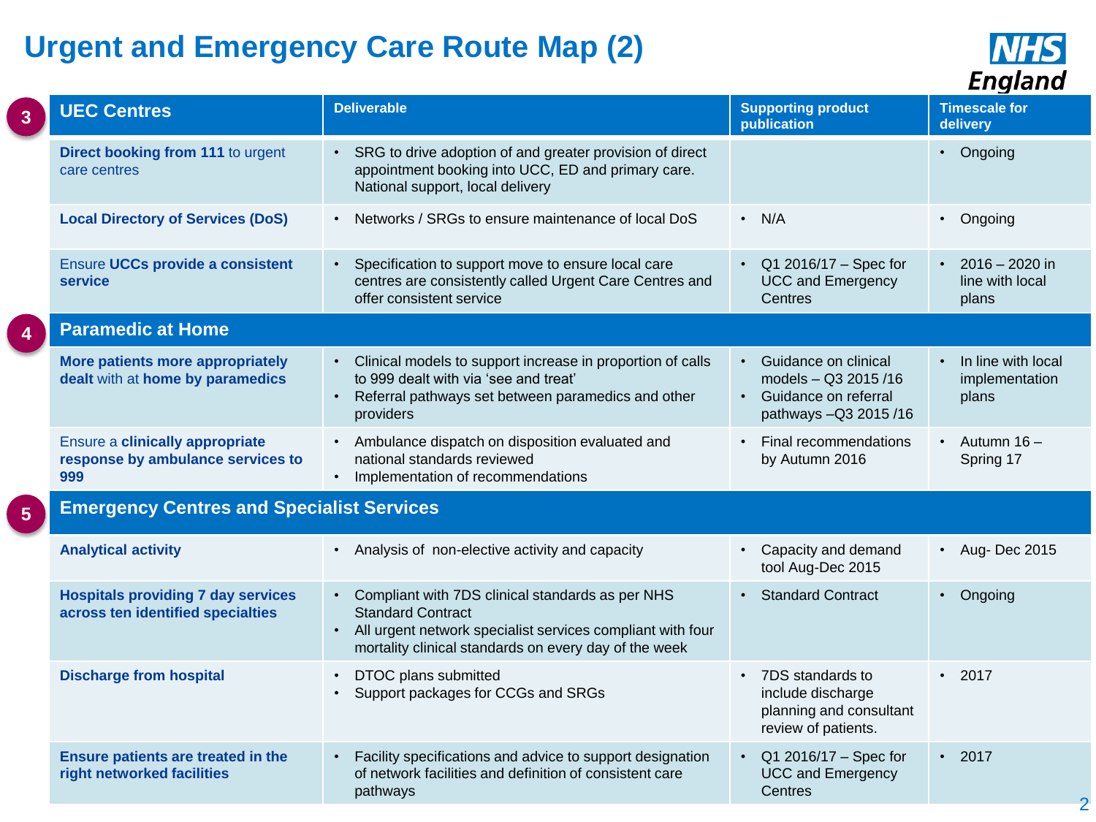## **Urgent and Emergency Care Route Map (2)**



|                | <b>UEC Centres</b>                                                             | <b>Deliverable</b>                                                                                                                                                                                    | <b>Supporting product</b><br>publication                                                                     | <b>Timescale for</b><br>delivery                   |  |
|----------------|--------------------------------------------------------------------------------|-------------------------------------------------------------------------------------------------------------------------------------------------------------------------------------------------------|--------------------------------------------------------------------------------------------------------------|----------------------------------------------------|--|
|                | Direct booking from 111 to urgent<br>care centres                              | • SRG to drive adoption of and greater provision of direct<br>appointment booking into UCC, ED and primary care.<br>National support, local delivery                                                  |                                                                                                              | • Ongoing                                          |  |
|                | <b>Local Directory of Services (DoS)</b>                                       | Networks / SRGs to ensure maintenance of local DoS                                                                                                                                                    | $\cdot$ N/A                                                                                                  | • Ongoing                                          |  |
|                | <b>Ensure UCCs provide a consistent</b><br>service                             | Specification to support move to ensure local care<br>centres are consistently called Urgent Care Centres and<br>offer consistent service                                                             | • $Q1 2016/17 - Spec for$<br><b>UCC and Emergency</b><br>Centres                                             | $\cdot$ 2016 - 2020 in<br>line with local<br>plans |  |
|                | <b>Paramedic at Home</b>                                                       |                                                                                                                                                                                                       |                                                                                                              |                                                    |  |
|                | More patients more appropriately<br>dealt with at home by paramedics           | • Clinical models to support increase in proportion of calls<br>to 999 dealt with via 'see and treat'<br>Referral pathways set between paramedics and other<br>providers                              | Guidance on clinical<br>$\bullet$<br>models - Q3 2015/16<br>• Guidance on referral<br>pathways - Q3 2015 /16 | • In line with local<br>implementation<br>plans    |  |
|                | Ensure a clinically appropriate<br>response by ambulance services to<br>999    | • Ambulance dispatch on disposition evaluated and<br>national standards reviewed<br>• Implementation of recommendations                                                                               | Final recommendations<br>$\bullet$<br>by Autumn 2016                                                         | $\cdot$ Autumn 16 -<br>Spring 17                   |  |
| $5\phantom{1}$ | <b>Emergency Centres and Specialist Services</b>                               |                                                                                                                                                                                                       |                                                                                                              |                                                    |  |
|                | <b>Analytical activity</b>                                                     | • Analysis of non-elective activity and capacity                                                                                                                                                      | • Capacity and demand<br>tool Aug-Dec 2015                                                                   | • Aug-Dec 2015                                     |  |
|                | <b>Hospitals providing 7 day services</b><br>across ten identified specialties | • Compliant with 7DS clinical standards as per NHS<br><b>Standard Contract</b><br>All urgent network specialist services compliant with four<br>mortality clinical standards on every day of the week | • Standard Contract                                                                                          | • Ongoing                                          |  |
|                | <b>Discharge from hospital</b>                                                 | DTOC plans submitted<br>$\bullet$<br>Support packages for CCGs and SRGs                                                                                                                               | 7DS standards to<br>$\bullet$<br>include discharge<br>planning and consultant<br>review of patients.         | $\cdot$ 2017                                       |  |
|                | Ensure patients are treated in the<br>right networked facilities               | Facility specifications and advice to support designation<br>of network facilities and definition of consistent care<br>pathways                                                                      | Q1 2016/17 - Spec for<br><b>UCC and Emergency</b><br>Centres                                                 | $\cdot$ 2017<br>$\overline{2}$                     |  |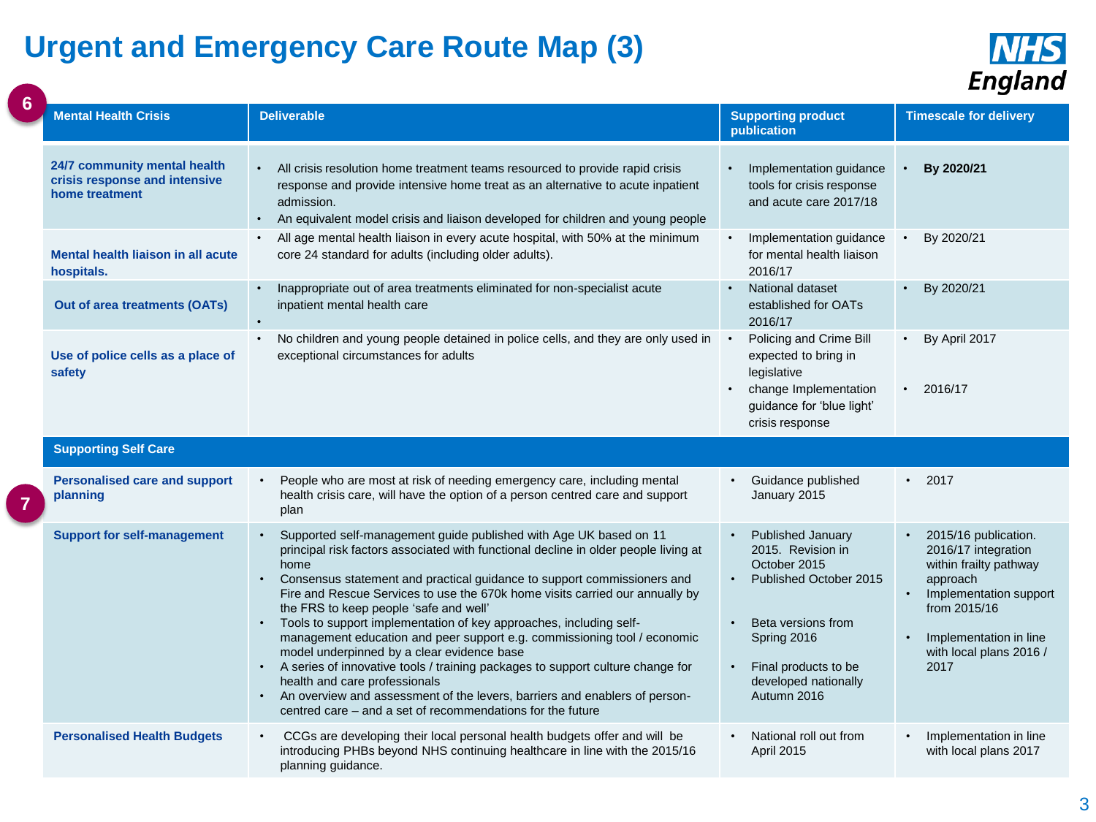## **Urgent and Emergency Care Route Map (3)**



|  | Lugiana                                                                         |                                                                                                                                                                                                                                                                                                                                                                                                                                                                                                                                                                                                                                                                                                                                                                                                                                                                                 |                                                                                                                                                                                                                |                                                                                                                                                                                                       |
|--|---------------------------------------------------------------------------------|---------------------------------------------------------------------------------------------------------------------------------------------------------------------------------------------------------------------------------------------------------------------------------------------------------------------------------------------------------------------------------------------------------------------------------------------------------------------------------------------------------------------------------------------------------------------------------------------------------------------------------------------------------------------------------------------------------------------------------------------------------------------------------------------------------------------------------------------------------------------------------|----------------------------------------------------------------------------------------------------------------------------------------------------------------------------------------------------------------|-------------------------------------------------------------------------------------------------------------------------------------------------------------------------------------------------------|
|  | <b>Mental Health Crisis</b>                                                     | <b>Deliverable</b>                                                                                                                                                                                                                                                                                                                                                                                                                                                                                                                                                                                                                                                                                                                                                                                                                                                              | <b>Supporting product</b><br>publication                                                                                                                                                                       | <b>Timescale for delivery</b>                                                                                                                                                                         |
|  | 24/7 community mental health<br>crisis response and intensive<br>home treatment | All crisis resolution home treatment teams resourced to provide rapid crisis<br>response and provide intensive home treat as an alternative to acute inpatient<br>admission.<br>An equivalent model crisis and liaison developed for children and young people<br>$\bullet$                                                                                                                                                                                                                                                                                                                                                                                                                                                                                                                                                                                                     | Implementation guidance<br>tools for crisis response<br>and acute care 2017/18                                                                                                                                 | By 2020/21                                                                                                                                                                                            |
|  | Mental health liaison in all acute<br>hospitals.                                | All age mental health liaison in every acute hospital, with 50% at the minimum<br>core 24 standard for adults (including older adults).                                                                                                                                                                                                                                                                                                                                                                                                                                                                                                                                                                                                                                                                                                                                         | Implementation guidance<br>for mental health liaison<br>2016/17                                                                                                                                                | By 2020/21                                                                                                                                                                                            |
|  | Out of area treatments (OATs)                                                   | Inappropriate out of area treatments eliminated for non-specialist acute<br>inpatient mental health care<br>$\bullet$                                                                                                                                                                                                                                                                                                                                                                                                                                                                                                                                                                                                                                                                                                                                                           | National dataset<br>established for OATs<br>2016/17                                                                                                                                                            | By 2020/21<br>$\bullet$                                                                                                                                                                               |
|  | Use of police cells as a place of<br>safety                                     | No children and young people detained in police cells, and they are only used in<br>exceptional circumstances for adults                                                                                                                                                                                                                                                                                                                                                                                                                                                                                                                                                                                                                                                                                                                                                        | Policing and Crime Bill<br>expected to bring in<br>legislative<br>change Implementation<br>guidance for 'blue light'<br>crisis response                                                                        | By April 2017<br>$\bullet$<br>2016/17<br>$\bullet$                                                                                                                                                    |
|  | <b>Supporting Self Care</b>                                                     |                                                                                                                                                                                                                                                                                                                                                                                                                                                                                                                                                                                                                                                                                                                                                                                                                                                                                 |                                                                                                                                                                                                                |                                                                                                                                                                                                       |
|  | <b>Personalised care and support</b><br>planning                                | People who are most at risk of needing emergency care, including mental<br>health crisis care, will have the option of a person centred care and support<br>plan                                                                                                                                                                                                                                                                                                                                                                                                                                                                                                                                                                                                                                                                                                                | Guidance published<br>January 2015                                                                                                                                                                             | 2017<br>٠                                                                                                                                                                                             |
|  | <b>Support for self-management</b>                                              | Supported self-management guide published with Age UK based on 11<br>$\bullet$<br>principal risk factors associated with functional decline in older people living at<br>home<br>Consensus statement and practical guidance to support commissioners and<br>$\bullet$<br>Fire and Rescue Services to use the 670k home visits carried our annually by<br>the FRS to keep people 'safe and well'<br>Tools to support implementation of key approaches, including self-<br>$\bullet$<br>management education and peer support e.g. commissioning tool / economic<br>model underpinned by a clear evidence base<br>• A series of innovative tools / training packages to support culture change for<br>health and care professionals<br>• An overview and assessment of the levers, barriers and enablers of person-<br>centred care – and a set of recommendations for the future | Published January<br>$\bullet$<br>2015. Revision in<br>October 2015<br>Published October 2015<br>$\bullet$<br>Beta versions from<br>Spring 2016<br>Final products to be<br>developed nationally<br>Autumn 2016 | 2015/16 publication.<br>$\bullet$<br>2016/17 integration<br>within frailty pathway<br>approach<br>Implementation support<br>from 2015/16<br>Implementation in line<br>with local plans 2016 /<br>2017 |
|  | <b>Personalised Health Budgets</b>                                              | CCGs are developing their local personal health budgets offer and will be<br>$\bullet$<br>introducing PHBs beyond NHS continuing healthcare in line with the 2015/16<br>planning guidance.                                                                                                                                                                                                                                                                                                                                                                                                                                                                                                                                                                                                                                                                                      | National roll out from<br>April 2015                                                                                                                                                                           | Implementation in line<br>with local plans 2017                                                                                                                                                       |